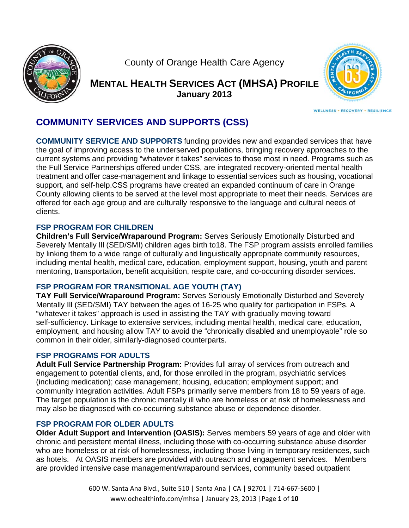

County of Orange Health Care Agency

**MENTAL HEALTH SERVICES ACT (MHSA) PROFILE Jan nuary 2013 3**



WELLNESS - RECOVERY - RESILIENCE

**C COMMUN NITY SER RVICES A AND SUPP PORTS (C CSS)** 

**COMMUNITY SERVICE AND SUPPORTS** funding provides new and expanded services that have the goal of improving access to the underserved populations, bringing recovery approaches to the current systems and providing "whatever it takes" services to those most in need. Programs such as the Full Service Partnerships offered under CSS, are integrated recovery-oriented mental health treatment and offer case-management and linkage to essential services such as housing, vocational support, and self-help.CSS programs have created an expanded continuum of care in Orange County allowing clients to be served at the level most appropriate to meet their needs. Services are offered for each age group and are culturally responsive to the language and cultural needs of c clients.

### **F FSP PROG RAM FOR C CHILDREN**

Children's Full Service/Wraparound Program: Serves Seriously Emotionally Disturbed and Severely Mentally III (SED/SMI) children ages birth to18. The FSP program assists enrolled families by linking them to a wide range of culturally and linguistically appropriate community resources, including mental health, medical care, education, employment support, housing, youth and parent mentoring, transportation, benefit acquisition, respite care, and co-occurring disorder services.

# **FSP PROGRAM FOR TRANSITIONAL AGE YOUTH (TAY)**

**TAY Full Service/Wraparound Program:** Serves Seriously Emotionally Disturbed and Severely Mentally III (SED/SMI) TAY between the ages of 16-25 who qualify for participation in FSPs. A "whatever it takes" approach is used in assisting the TAY with gradually moving toward self-sufficiency. Linkage to extensive services, including mental health, medical care, education, employment, and housing allow TAY to avoid the "chronically disabled and unemployable" role so common in their older, similarly-diagnosed counterparts.

#### **F FSP PROG RAMS FOR R ADULTS**

Adult Full Service Partnership Program: Provides full array of services from outreach and engagement to potential clients, and, for those enrolled in the program, psychiatric services (including medication); case management; housing, education; employment support; and engagement to potential clients, and, for those enrolled in the program, psychiatric services<br>(including medication); case management; housing, education; employment support; and<br>community integration activities. Adult FSP The target population is the chronic mentally ill who are homeless or at risk of homelessness and may also be diagnosed with co-occurring substance abuse or dependence disorder.

#### **FSP PROGRAM FOR OLDER ADULTS**

**Older Adult Support and Intervention (OASIS):** Serves members 59 years of age and older with chronic and persistent mental illness, including those with co-occurring substance abuse disorder who are homeless or at risk of homelessness, including those living in temporary residences, such as hotels. At OASIS members are provided with outreach and engagement services. Members are provided intensive case management/wraparound services, community based outpatient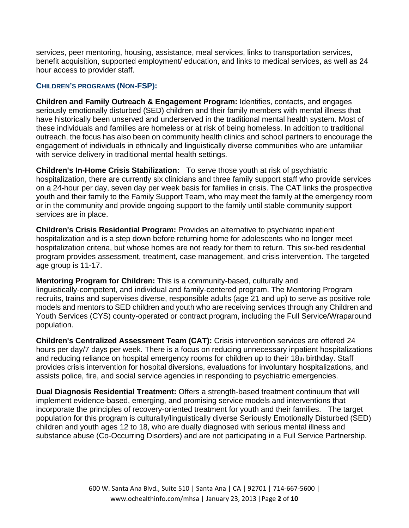services, peer mentoring, housing, assistance, meal services, links to transportation services, benefit acquisition, supported employment/ education, and links to medical services, as well as 24 hour access to provider staff.

#### **CHILDREN'S PROGRAMS (NON-FSP):**

**Children and Family Outreach & Engagement Program:** Identifies, contacts, and engages seriously emotionally disturbed (SED) children and their family members with mental illness that have historically been unserved and underserved in the traditional mental health system. Most of these individuals and families are homeless or at risk of being homeless. In addition to traditional outreach, the focus has also been on community health clinics and school partners to encourage the engagement of individuals in ethnically and linguistically diverse communities who are unfamiliar with service delivery in traditional mental health settings.

**Children's In-Home Crisis Stabilization:** To serve those youth at risk of psychiatric hospitalization, there are currently six clinicians and three family support staff who provide services on a 24-hour per day, seven day per week basis for families in crisis. The CAT links the prospective youth and their family to the Family Support Team, who may meet the family at the emergency room or in the community and provide ongoing support to the family until stable community support services are in place.

**Children's Crisis Residential Program:** Provides an alternative to psychiatric inpatient hospitalization and is a step down before returning home for adolescents who no longer meet hospitalization criteria, but whose homes are not ready for them to return. This six-bed residential program provides assessment, treatment, case management, and crisis intervention. The targeted age group is 11-17.

**Mentoring Program for Children:** This is a community-based, culturally and

linguistically-competent, and individual and family-centered program. The Mentoring Program recruits, trains and supervises diverse, responsible adults (age 21 and up) to serve as positive role models and mentors to SED children and youth who are receiving services through any Children and Youth Services (CYS) county-operated or contract program, including the Full Service/Wraparound population.

**Children's Centralized Assessment Team (CAT):** Crisis intervention services are offered 24 hours per day/7 days per week. There is a focus on reducing unnecessary inpatient hospitalizations and reducing reliance on hospital emergency rooms for children up to their 18th birthday. Staff provides crisis intervention for hospital diversions, evaluations for involuntary hospitalizations, and assists police, fire, and social service agencies in responding to psychiatric emergencies.

**Dual Diagnosis Residential Treatment:** Offers a strength-based treatment continuum that will implement evidence-based, emerging, and promising service models and interventions that incorporate the principles of recovery-oriented treatment for youth and their families. The target population for this program is culturally/linguistically diverse Seriously Emotionally Disturbed (SED) children and youth ages 12 to 18, who are dually diagnosed with serious mental illness and substance abuse (Co-Occurring Disorders) and are not participating in a Full Service Partnership.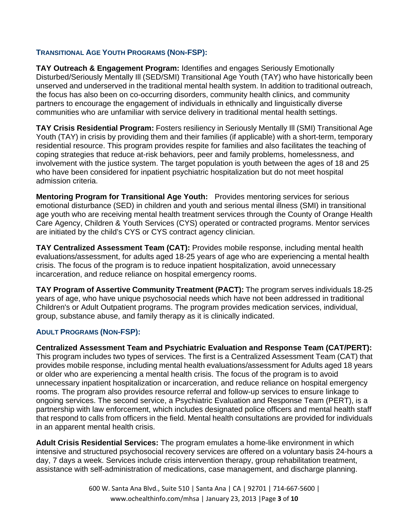#### **TRANSITIONAL AGE YOUTH PROGRAMS (NON-FSP):**

**TAY Outreach & Engagement Program:** Identifies and engages Seriously Emotionally Disturbed/Seriously Mentally Ill (SED/SMI) Transitional Age Youth (TAY) who have historically been unserved and underserved in the traditional mental health system. In addition to traditional outreach, the focus has also been on co-occurring disorders, community health clinics, and community partners to encourage the engagement of individuals in ethnically and linguistically diverse communities who are unfamiliar with service delivery in traditional mental health settings.

**TAY Crisis Residential Program:** Fosters resiliency in Seriously Mentally Ill (SMI) Transitional Age Youth (TAY) in crisis by providing them and their families (if applicable) with a short-term, temporary residential resource. This program provides respite for families and also facilitates the teaching of coping strategies that reduce at-risk behaviors, peer and family problems, homelessness, and involvement with the justice system. The target population is youth between the ages of 18 and 25 who have been considered for inpatient psychiatric hospitalization but do not meet hospital admission criteria.

**Mentoring Program for Transitional Age Youth:** Provides mentoring services for serious emotional disturbance (SED) in children and youth and serious mental illness (SMI) in transitional age youth who are receiving mental health treatment services through the County of Orange Health Care Agency, Children & Youth Services (CYS) operated or contracted programs. Mentor services are initiated by the child's CYS or CYS contract agency clinician.

**TAY Centralized Assessment Team (CAT):** Provides mobile response, including mental health evaluations/assessment, for adults aged 18-25 years of age who are experiencing a mental health crisis. The focus of the program is to reduce inpatient hospitalization, avoid unnecessary incarceration, and reduce reliance on hospital emergency rooms.

**TAY Program of Assertive Community Treatment (PACT):** The program serves individuals 18-25 years of age, who have unique psychosocial needs which have not been addressed in traditional Children's or Adult Outpatient programs. The program provides medication services, individual, group, substance abuse, and family therapy as it is clinically indicated. Ì

#### **ADULT PROGRAMS (NON-FSP):**

**Centralized Assessment Team and Psychiatric Evaluation and Response Team (CAT/PERT):** This program includes two types of services. The first is a Centralized Assessment Team (CAT) that provides mobile response, including mental health evaluations/assessment for Adults aged 18 years or older who are experiencing a mental health crisis. The focus of the program is to avoid unnecessary inpatient hospitalization or incarceration, and reduce reliance on hospital emergency rooms. The program also provides resource referral and follow-up services to ensure linkage to ongoing services. The second service, a Psychiatric Evaluation and Response Team (PERT), is a partnership with law enforcement, which includes designated police officers and mental health staff that respond to calls from officers in the field. Mental health consultations are provided for individuals in an apparent mental health crisis.

**Adult Crisis Residential Services:** The program emulates a home-like environment in which intensive and structured psychosocial recovery services are offered on a voluntary basis 24-hours a day, 7 days a week. Services include crisis intervention therapy, group rehabilitation treatment, assistance with self-administration of medications, case management, and discharge planning.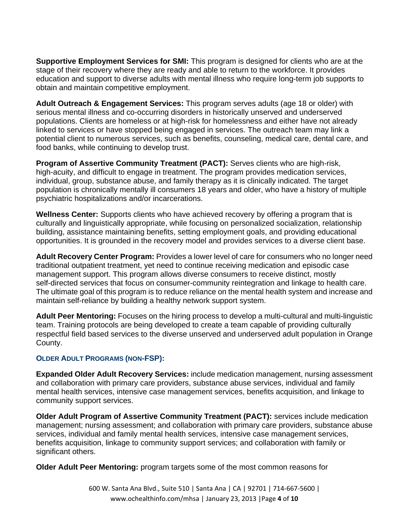**Supportive Employment Services for SMI:** This program is designed for clients who are at the stage of their recovery where they are ready and able to return to the workforce. It provides education and support to diverse adults with mental illness who require long-term job supports to obtain and maintain competitive employment.

**Adult Outreach & Engagement Services:** This program serves adults (age 18 or older) with serious mental illness and co-occurring disorders in historically unserved and underserved populations. Clients are homeless or at high-risk for homelessness and either have not already linked to services or have stopped being engaged in services. The outreach team may link a potential client to numerous services, such as benefits, counseling, medical care, dental care, and food banks, while continuing to develop trust.

**Program of Assertive Community Treatment (PACT):** Serves clients who are high-risk, high-acuity, and difficult to engage in treatment. The program provides medication services, individual, group, substance abuse, and family therapy as it is clinically indicated. The target population is chronically mentally ill consumers 18 years and older, who have a history of multiple psychiatric hospitalizations and/or incarcerations.

**Wellness Center:** Supports clients who have achieved recovery by offering a program that is culturally and linguistically appropriate, while focusing on personalized socialization, relationship building, assistance maintaining benefits, setting employment goals, and providing educational opportunities. It is grounded in the recovery model and provides services to a diverse client base.

**Adult Recovery Center Program:** Provides a lower level of care for consumers who no longer need traditional outpatient treatment, yet need to continue receiving medication and episodic case management support. This program allows diverse consumers to receive distinct, mostly self-directed services that focus on consumer-community reintegration and linkage to health care. The ultimate goal of this program is to reduce reliance on the mental health system and increase and maintain self-reliance by building a healthy network support system.

**Adult Peer Mentoring:** Focuses on the hiring process to develop a multi-cultural and multi-linguistic team. Training protocols are being developed to create a team capable of providing culturally respectful field based services to the diverse unserved and underserved adult population in Orange County.

#### **OLDER ADULT PROGRAMS (NON-FSP):**

**Expanded Older Adult Recovery Services:** include medication management, nursing assessment and collaboration with primary care providers, substance abuse services, individual and family mental health services, intensive case management services, benefits acquisition, and linkage to community support services.

**Older Adult Program of Assertive Community Treatment (PACT):** services include medication management; nursing assessment; and collaboration with primary care providers, substance abuse services, individual and family mental health services, intensive case management services, benefits acquisition, linkage to community support services; and collaboration with family or significant others.

**Older Adult Peer Mentoring:** program targets some of the most common reasons for

600 W. Santa Ana Blvd., Suite 510 | Santa Ana | CA | 92701 | 714‐667‐5600 | www.ochealthinfo.com/mhsa | January 23, 2013 |Page **4** of **10**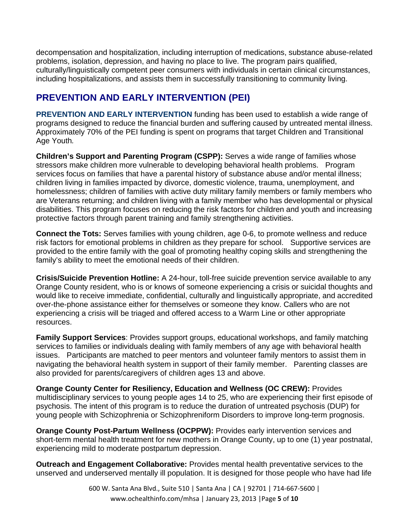decompensation and hospitalization, including interruption of medications, substance abuse-related problems, isolation, depression, and having no place to live. The program pairs qualified, culturally/linguistically competent peer consumers with individuals in certain clinical circumstances, including hospitalizations, and assists them in successfully transitioning to community living.

# **PREVENTION AND EARLY INTERVENTION (PEI)**

**PREVENTION AND EARLY INTERVENTION** funding has been used to establish a wide range of programs designed to reduce the financial burden and suffering caused by untreated mental illness. Approximately 70% of the PEI funding is spent on programs that target Children and Transitional Age Youth*.*

**Children's Support and Parenting Program (CSPP):** Serves a wide range of families whose stressors make children more vulnerable to developing behavioral health problems. Program services focus on families that have a parental history of substance abuse and/or mental illness; children living in families impacted by divorce, domestic violence, trauma, unemployment, and homelessness; children of families with active duty military family members or family members who are Veterans returning; and children living with a family member who has developmental or physical disabilities. This program focuses on reducing the risk factors for children and youth and increasing protective factors through parent training and family strengthening activities.

**Connect the Tots:** Serves families with young children, age 0-6, to promote wellness and reduce risk factors for emotional problems in children as they prepare for school. Supportive services are provided to the entire family with the goal of promoting healthy coping skills and strengthening the family's ability to meet the emotional needs of their children.

**Crisis/Suicide Prevention Hotline:** A 24-hour, toll-free suicide prevention service available to any Orange County resident, who is or knows of someone experiencing a crisis or suicidal thoughts and would like to receive immediate, confidential, culturally and linguistically appropriate, and accredited over-the-phone assistance either for themselves or someone they know. Callers who are not experiencing a crisis will be triaged and offered access to a Warm Line or other appropriate resources.

**Family Support Services**: Provides support groups, educational workshops, and family matching services to families or individuals dealing with family members of any age with behavioral health issues. Participants are matched to peer mentors and volunteer family mentors to assist them in navigating the behavioral health system in support of their family member. Parenting classes are also provided for parents/caregivers of children ages 13 and above.

**Orange County Center for Resiliency, Education and Wellness (OC CREW):** Provides multidisciplinary services to young people ages 14 to 25, who are experiencing their first episode of psychosis. The intent of this program is to reduce the duration of untreated psychosis (DUP) for young people with Schizophrenia or Schizophreniform Disorders to improve long-term prognosis.

**Orange County Post-Partum Wellness (OCPPW):** Provides early intervention services and short-term mental health treatment for new mothers in Orange County, up to one (1) year postnatal, experiencing mild to moderate postpartum depression.

**Outreach and Engagement Collaborative:** Provides mental health preventative services to the unserved and underserved mentally ill population. It is designed for those people who have had life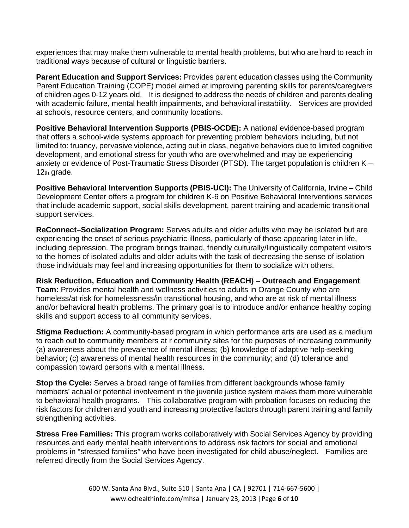experiences that may make them vulnerable to mental health problems, but who are hard to reach in traditional ways because of cultural or linguistic barriers.

**Parent Education and Support Services:** Provides parent education classes using the Community Parent Education Training (COPE) model aimed at improving parenting skills for parents/caregivers of children ages 0-12 years old. It is designed to address the needs of children and parents dealing with academic failure, mental health impairments, and behavioral instability. Services are provided at schools, resource centers, and community locations.

**Positive Behavioral Intervention Supports (PBIS-OCDE):** A national evidence-based program that offers a school-wide systems approach for preventing problem behaviors including, but not limited to: truancy, pervasive violence, acting out in class, negative behaviors due to limited cognitive development, and emotional stress for youth who are overwhelmed and may be experiencing anxiety or evidence of Post-Traumatic Stress Disorder (PTSD). The target population is children K – 12th grade.

**Positive Behavioral Intervention Supports (PBIS-UCI):** The University of California, Irvine – Child Development Center offers a program for children K-6 on Positive Behavioral Interventions services that include academic support, social skills development, parent training and academic transitional support services.

**ReConnect–Socialization Program:** Serves adults and older adults who may be isolated but are experiencing the onset of serious psychiatric illness, particularly of those appearing later in life, including depression. The program brings trained, friendly culturally/linguistically competent visitors to the homes of isolated adults and older adults with the task of decreasing the sense of isolation those individuals may feel and increasing opportunities for them to socialize with others.

**Risk Reduction, Education and Community Health (REACH) – Outreach and Engagement Team:** Provides mental health and wellness activities to adults in Orange County who are homeless/at risk for homelessness/in transitional housing, and who are at risk of mental illness and/or behavioral health problems. The primary goal is to introduce and/or enhance healthy coping skills and support access to all community services.

**Stigma Reduction:** A community-based program in which performance arts are used as a medium to reach out to community members at r community sites for the purposes of increasing community (a) awareness about the prevalence of mental illness; (b) knowledge of adaptive help-seeking behavior; (c) awareness of mental health resources in the community; and (d) tolerance and compassion toward persons with a mental illness.

**Stop the Cycle:** Serves a broad range of families from different backgrounds whose family members' actual or potential involvement in the juvenile justice system makes them more vulnerable to behavioral health programs. This collaborative program with probation focuses on reducing the risk factors for children and youth and increasing protective factors through parent training and family strengthening activities.

**Stress Free Families:** This program works collaboratively with Social Services Agency by providing resources and early mental health interventions to address risk factors for social and emotional problems in "stressed families" who have been investigated for child abuse/neglect. Families are referred directly from the Social Services Agency.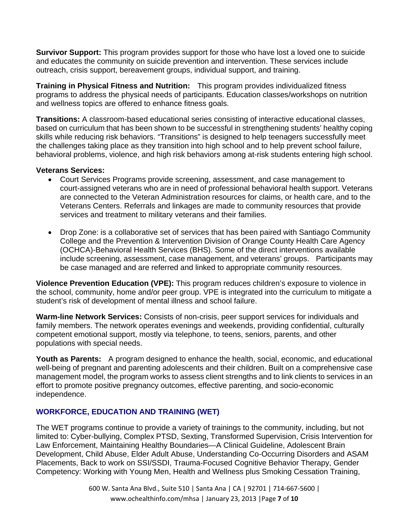**Survivor Support:** This program provides support for those who have lost a loved one to suicide and educates the community on suicide prevention and intervention. These services include outreach, crisis support, bereavement groups, individual support, and training.

**Training in Physical Fitness and Nutrition:** This program provides individualized fitness programs to address the physical needs of participants. Education classes/workshops on nutrition and wellness topics are offered to enhance fitness goals.

**Transitions:** A classroom-based educational series consisting of interactive educational classes, based on curriculum that has been shown to be successful in strengthening students' healthy coping skills while reducing risk behaviors. "Transitions" is designed to help teenagers successfully meet the challenges taking place as they transition into high school and to help prevent school failure, behavioral problems, violence, and high risk behaviors among at-risk students entering high school.

#### **Veterans Services:**

- Court Services Programs provide screening, assessment, and case management to court-assigned veterans who are in need of professional behavioral health support. Veterans are connected to the Veteran Administration resources for claims, or health care, and to the Veterans Centers. Referrals and linkages are made to community resources that provide services and treatment to military veterans and their families.
- Drop Zone: is a collaborative set of services that has been paired with Santiago Community College and the Prevention & Intervention Division of Orange County Health Care Agency (OCHCA)-Behavioral Health Services (BHS). Some of the direct interventions available include screening, assessment, case management, and veterans' groups. Participants may be case managed and are referred and linked to appropriate community resources.

**Violence Prevention Education (VPE):** This program reduces children's exposure to violence in the school, community, home and/or peer group. VPE is integrated into the curriculum to mitigate a student's risk of development of mental illness and school failure.

**Warm-line Network Services:** Consists of non-crisis, peer support services for individuals and family members. The network operates evenings and weekends, providing confidential, culturally competent emotional support, mostly via telephone, to teens, seniors, parents, and other populations with special needs.

**Youth as Parents:** A program designed to enhance the health, social, economic, and educational well-being of pregnant and parenting adolescents and their children. Built on a comprehensive case management model, the program works to assess client strengths and to link clients to services in an effort to promote positive pregnancy outcomes, effective parenting, and socio-economic independence.

#### **WORKFORCE, EDUCATION AND TRAINING (WET)**

The WET programs continue to provide a variety of trainings to the community, including, but not limited to: Cyber-bullying, Complex PTSD, Sexting, Transformed Supervision, Crisis Intervention for Law Enforcement, Maintaining Healthy Boundaries—A Clinical Guideline, Adolescent Brain Development, Child Abuse, Elder Adult Abuse, Understanding Co-Occurring Disorders and ASAM Placements, Back to work on SSI/SSDI, Trauma-Focused Cognitive Behavior Therapy, Gender Competency: Working with Young Men, Health and Wellness plus Smoking Cessation Training,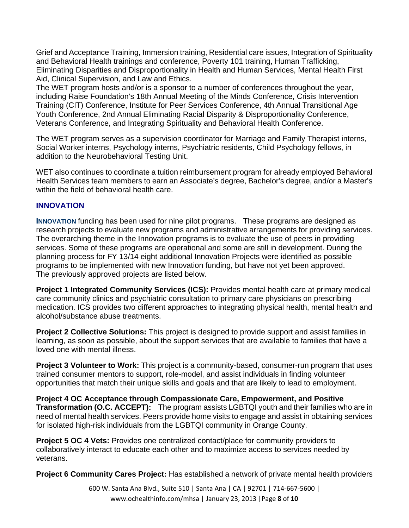Grief and Acceptance Training, Immersion training, Residential care issues, Integration of Spirituality and Behavioral Health trainings and conference, Poverty 101 training, Human Trafficking, Eliminating Disparities and Disproportionality in Health and Human Services, Mental Health First Aid, Clinical Supervision, and Law and Ethics.

The WET program hosts and/or is a sponsor to a number of conferences throughout the year, including Raise Foundation's 18th Annual Meeting of the Minds Conference, Crisis Intervention Training (CIT) Conference, Institute for Peer Services Conference, 4th Annual Transitional Age Youth Conference, 2nd Annual Eliminating Racial Disparity & Disproportionality Conference, Veterans Conference, and Integrating Spirituality and Behavioral Health Conference.

The WET program serves as a supervision coordinator for Marriage and Family Therapist interns, Social Worker interns, Psychology interns, Psychiatric residents, Child Psychology fellows, in addition to the Neurobehavioral Testing Unit.

WET also continues to coordinate a tuition reimbursement program for already employed Behavioral Health Services team members to earn an Associate's degree, Bachelor's degree, and/or a Master's within the field of behavioral health care.

#### **INNOVATION**

**INNOVATION** funding has been used for nine pilot programs. These programs are designed as research projects to evaluate new programs and administrative arrangements for providing services. The overarching theme in the Innovation programs is to evaluate the use of peers in providing services. Some of these programs are operational and some are still in development. During the planning process for FY 13/14 eight additional Innovation Projects were identified as possible programs to be implemented with new Innovation funding, but have not yet been approved. The previously approved projects are listed below.

**Project 1 Integrated Community Services (ICS):** Provides mental health care at primary medical care community clinics and psychiatric consultation to primary care physicians on prescribing medication. ICS provides two different approaches to integrating physical health, mental health and alcohol/substance abuse treatments.

**Project 2 Collective Solutions:** This project is designed to provide support and assist families in learning, as soon as possible, about the support services that are available to families that have a loved one with mental illness.

**Project 3 Volunteer to Work:** This project is a community-based, consumer-run program that uses trained consumer mentors to support, role-model, and assist individuals in finding volunteer opportunities that match their unique skills and goals and that are likely to lead to employment.

**Project 4 OC Acceptance through Compassionate Care, Empowerment, and Positive Transformation (O.C. ACCEPT):** The program assists LGBTQI youth and their families who are in need of mental health services. Peers provide home visits to engage and assist in obtaining services for isolated high-risk individuals from the LGBTQI community in Orange County.

**Project 5 OC 4 Vets:** Provides one centralized contact/place for community providers to collaboratively interact to educate each other and to maximize access to services needed by veterans.

**Project 6 Community Cares Project:** Has established a network of private mental health providers

600 W. Santa Ana Blvd., Suite 510 | Santa Ana | CA | 92701 | 714‐667‐5600 | www.ochealthinfo.com/mhsa | January 23, 2013 |Page **8** of **10**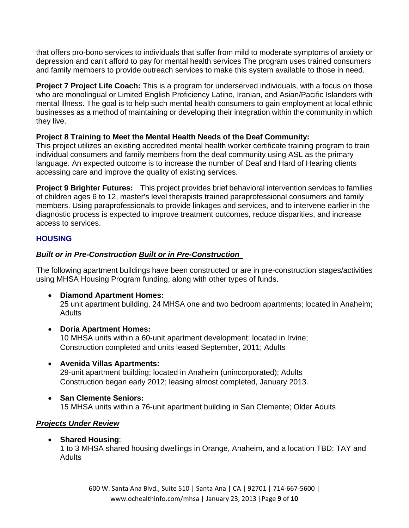that offers pro-bono services to individuals that suffer from mild to moderate symptoms of anxiety or depression and can't afford to pay for mental health services The program uses trained consumers and family members to provide outreach services to make this system available to those in need.

**Project 7 Project Life Coach:** This is a program for underserved individuals, with a focus on those who are monolingual or Limited English Proficiency Latino, Iranian, and Asian/Pacific Islanders with mental illness. The goal is to help such mental health consumers to gain employment at local ethnic businesses as a method of maintaining or developing their integration within the community in which they live.

# **Project 8 Training to Meet the Mental Health Needs of the Deaf Community:**

This project utilizes an existing accredited mental health worker certificate training program to train individual consumers and family members from the deaf community using ASL as the primary language. An expected outcome is to increase the number of Deaf and Hard of Hearing clients accessing care and improve the quality of existing services.

**Project 9 Brighter Futures:** This project provides brief behavioral intervention services to families of children ages 6 to 12, master's level therapists trained paraprofessional consumers and family members. Using paraprofessionals to provide linkages and services, and to intervene earlier in the diagnostic process is expected to improve treatment outcomes, reduce disparities, and increase access to services.

# **HOUSING**

# *Built or in Pre-Construction Built or in Pre-Construction*

The following apartment buildings have been constructed or are in pre-construction stages/activities using MHSA Housing Program funding, along with other types of funds.

**Diamond Apartment Homes:** 

25 unit apartment building, 24 MHSA one and two bedroom apartments; located in Anaheim; **Adults** 

**Doria Apartment Homes:** 

10 MHSA units within a 60-unit apartment development; located in Irvine; Construction completed and units leased September, 2011; Adults

- **Avenida Villas Apartments:**  29-unit apartment building; located in Anaheim (unincorporated); Adults Construction began early 2012; leasing almost completed, January 2013.
- **San Clemente Seniors:**  15 MHSA units within a 76-unit apartment building in San Clemente; Older Adults

# *Projects Under Review*

**Shared Housing**:

1 to 3 MHSA shared housing dwellings in Orange, Anaheim, and a location TBD; TAY and Adults